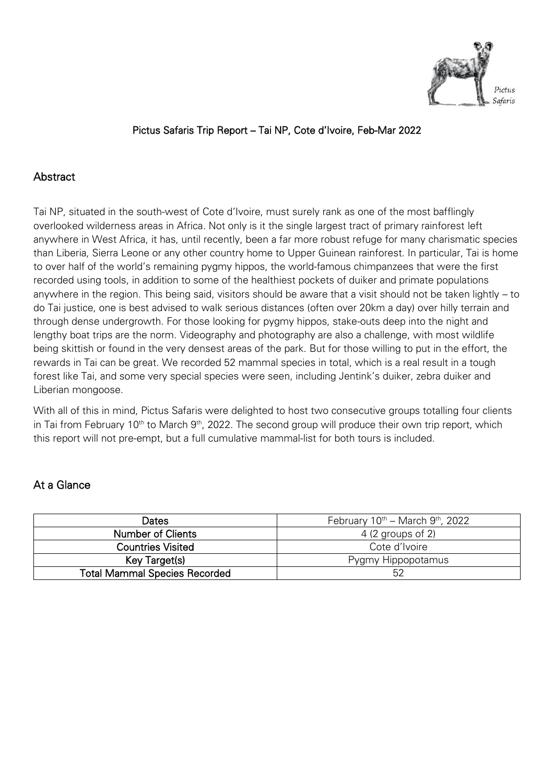

## Pictus Safaris Trip Report – Tai NP, Cote d'Ivoire, Feb-Mar 2022

## **Abstract**

Tai NP, situated in the south-west of Cote d'Ivoire, must surely rank as one of the most bafflingly overlooked wilderness areas in Africa. Not only is it the single largest tract of primary rainforest left anywhere in West Africa, it has, until recently, been a far more robust refuge for many charismatic species than Liberia, Sierra Leone or any other country home to Upper Guinean rainforest. In particular, Tai is home to over half of the world's remaining pygmy hippos, the world-famous chimpanzees that were the first recorded using tools, in addition to some of the healthiest pockets of duiker and primate populations anywhere in the region. This being said, visitors should be aware that a visit should not be taken lightly – to do Tai justice, one is best advised to walk serious distances (often over 20km a day) over hilly terrain and through dense undergrowth. For those looking for pygmy hippos, stake-outs deep into the night and lengthy boat trips are the norm. Videography and photography are also a challenge, with most wildlife being skittish or found in the very densest areas of the park. But for those willing to put in the effort, the rewards in Tai can be great. We recorded 52 mammal species in total, which is a real result in a tough forest like Tai, and some very special species were seen, including Jentink's duiker, zebra duiker and Liberian mongoose.

With all of this in mind, Pictus Safaris were delighted to host two consecutive groups totalling four clients in Tai from February 10<sup>th</sup> to March 9<sup>th</sup>, 2022. The second group will produce their own trip report, which this report will not pre-empt, but a full cumulative mammal-list for both tours is included.

#### At a Glance

| <b>Dates</b>                         | February $10^{th}$ – March $9^{th}$ , 2022 |
|--------------------------------------|--------------------------------------------|
| Number of Clients                    | $4(2$ groups of 2)                         |
| <b>Countries Visited</b>             | Cote d'Ivoire                              |
| Key Target(s)                        | Pygmy Hippopotamus                         |
| <b>Total Mammal Species Recorded</b> | 52                                         |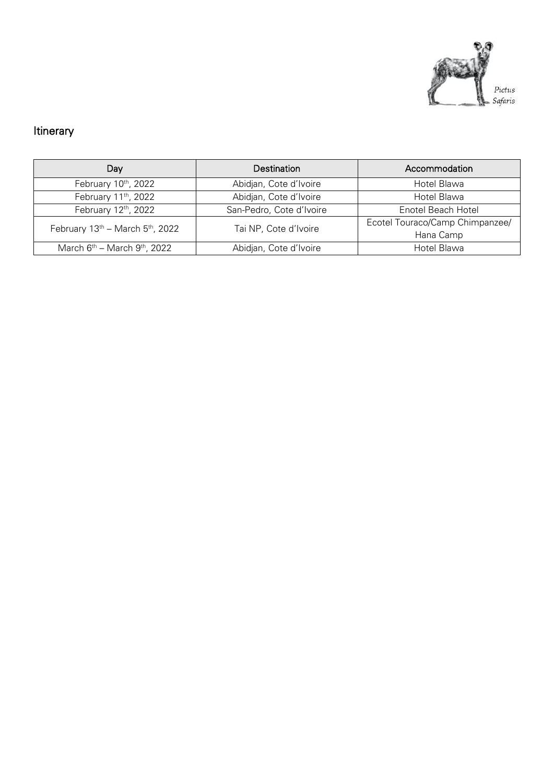

# Itinerary

| Day                                    | <b>Destination</b>       | Accommodation                   |
|----------------------------------------|--------------------------|---------------------------------|
| February 10th, 2022                    | Abidjan, Cote d'Ivoire   | Hotel Blawa                     |
| February 11th, 2022                    | Abidjan, Cote d'Ivoire   | Hotel Blawa                     |
| February 12th, 2022                    | San-Pedro, Cote d'Ivoire | Enotel Beach Hotel              |
| February $13th$ – March $5th$ , 2022   | Tai NP, Cote d'Ivoire    | Ecotel Touraco/Camp Chimpanzee/ |
|                                        |                          | Hana Camp                       |
| March $6^{th}$ – March $9^{th}$ , 2022 | Abidjan, Cote d'Ivoire   | Hotel Blawa                     |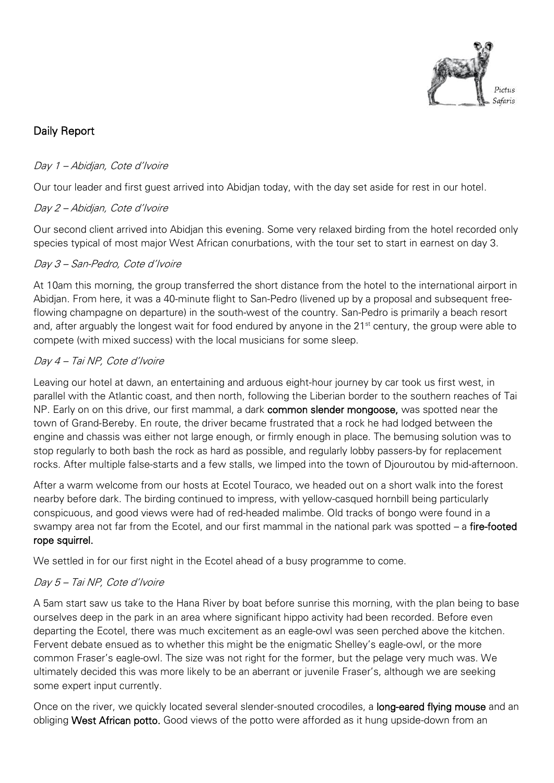

## Daily Report

## Day 1 – Abidjan, Cote d'Ivoire

Our tour leader and first guest arrived into Abidjan today, with the day set aside for rest in our hotel.

#### Day 2 – Abidjan, Cote d'Ivoire

Our second client arrived into Abidjan this evening. Some very relaxed birding from the hotel recorded only species typical of most major West African conurbations, with the tour set to start in earnest on day 3.

## Day 3 – San-Pedro, Cote d'Ivoire

At 10am this morning, the group transferred the short distance from the hotel to the international airport in Abidjan. From here, it was a 40-minute flight to San-Pedro (livened up by a proposal and subsequent freeflowing champagne on departure) in the south-west of the country. San-Pedro is primarily a beach resort and, after arguably the longest wait for food endured by anyone in the 21<sup>st</sup> century, the group were able to compete (with mixed success) with the local musicians for some sleep.

## Day 4 – Tai NP, Cote d'Ivoire

Leaving our hotel at dawn, an entertaining and arduous eight-hour journey by car took us first west, in parallel with the Atlantic coast, and then north, following the Liberian border to the southern reaches of Tai NP. Early on on this drive, our first mammal, a dark **common slender mongoose**, was spotted near the town of Grand-Bereby. En route, the driver became frustrated that a rock he had lodged between the engine and chassis was either not large enough, or firmly enough in place. The bemusing solution was to stop regularly to both bash the rock as hard as possible, and regularly lobby passers-by for replacement rocks. After multiple false-starts and a few stalls, we limped into the town of Djouroutou by mid-afternoon.

After a warm welcome from our hosts at Ecotel Touraco, we headed out on a short walk into the forest nearby before dark. The birding continued to impress, with yellow-casqued hornbill being particularly conspicuous, and good views were had of red-headed malimbe. Old tracks of bongo were found in a swampy area not far from the Ecotel, and our first mammal in the national park was spotted – a fire-footed rope squirrel.

We settled in for our first night in the Ecotel ahead of a busy programme to come.

## Day 5 – Tai NP, Cote d'Ivoire

A 5am start saw us take to the Hana River by boat before sunrise this morning, with the plan being to base ourselves deep in the park in an area where significant hippo activity had been recorded. Before even departing the Ecotel, there was much excitement as an eagle-owl was seen perched above the kitchen. Fervent debate ensued as to whether this might be the enigmatic Shelley's eagle-owl, or the more common Fraser's eagle-owl. The size was not right for the former, but the pelage very much was. We ultimately decided this was more likely to be an aberrant or juvenile Fraser's, although we are seeking some expert input currently.

Once on the river, we quickly located several slender-snouted crocodiles, a long-eared flying mouse and an obliging West African potto. Good views of the potto were afforded as it hung upside-down from an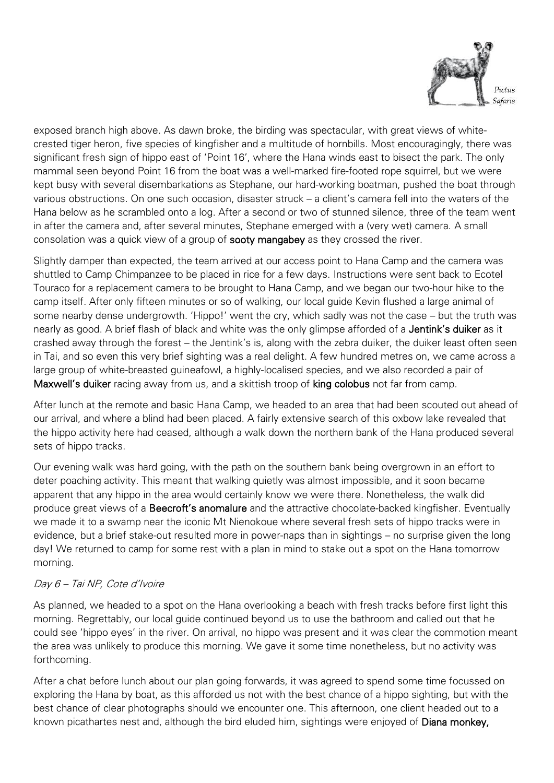

exposed branch high above. As dawn broke, the birding was spectacular, with great views of whitecrested tiger heron, five species of kingfisher and a multitude of hornbills. Most encouragingly, there was significant fresh sign of hippo east of 'Point 16', where the Hana winds east to bisect the park. The only mammal seen beyond Point 16 from the boat was a well-marked fire-footed rope squirrel, but we were kept busy with several disembarkations as Stephane, our hard-working boatman, pushed the boat through various obstructions. On one such occasion, disaster struck – a client's camera fell into the waters of the Hana below as he scrambled onto a log. After a second or two of stunned silence, three of the team went in after the camera and, after several minutes, Stephane emerged with a (very wet) camera. A small consolation was a quick view of a group of sooty mangabey as they crossed the river.

Slightly damper than expected, the team arrived at our access point to Hana Camp and the camera was shuttled to Camp Chimpanzee to be placed in rice for a few days. Instructions were sent back to Ecotel Touraco for a replacement camera to be brought to Hana Camp, and we began our two-hour hike to the camp itself. After only fifteen minutes or so of walking, our local guide Kevin flushed a large animal of some nearby dense undergrowth. 'Hippo!' went the cry, which sadly was not the case – but the truth was nearly as good. A brief flash of black and white was the only glimpse afforded of a Jentink's duiker as it crashed away through the forest – the Jentink's is, along with the zebra duiker, the duiker least often seen in Tai, and so even this very brief sighting was a real delight. A few hundred metres on, we came across a large group of white-breasted guineafowl, a highly-localised species, and we also recorded a pair of Maxwell's duiker racing away from us, and a skittish troop of king colobus not far from camp.

After lunch at the remote and basic Hana Camp, we headed to an area that had been scouted out ahead of our arrival, and where a blind had been placed. A fairly extensive search of this oxbow lake revealed that the hippo activity here had ceased, although a walk down the northern bank of the Hana produced several sets of hippo tracks.

Our evening walk was hard going, with the path on the southern bank being overgrown in an effort to deter poaching activity. This meant that walking quietly was almost impossible, and it soon became apparent that any hippo in the area would certainly know we were there. Nonetheless, the walk did produce great views of a Beecroft's anomalure and the attractive chocolate-backed kingfisher. Eventually we made it to a swamp near the iconic Mt Nienokoue where several fresh sets of hippo tracks were in evidence, but a brief stake-out resulted more in power-naps than in sightings – no surprise given the long day! We returned to camp for some rest with a plan in mind to stake out a spot on the Hana tomorrow morning.

#### Day 6 – Tai NP, Cote d'Ivoire

As planned, we headed to a spot on the Hana overlooking a beach with fresh tracks before first light this morning. Regrettably, our local guide continued beyond us to use the bathroom and called out that he could see 'hippo eyes' in the river. On arrival, no hippo was present and it was clear the commotion meant the area was unlikely to produce this morning. We gave it some time nonetheless, but no activity was forthcoming.

After a chat before lunch about our plan going forwards, it was agreed to spend some time focussed on exploring the Hana by boat, as this afforded us not with the best chance of a hippo sighting, but with the best chance of clear photographs should we encounter one. This afternoon, one client headed out to a known picathartes nest and, although the bird eluded him, sightings were enjoyed of Diana monkey,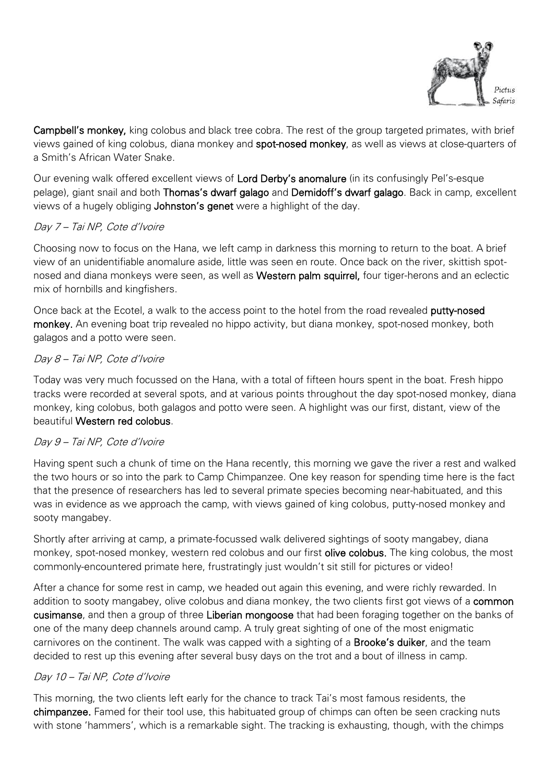

Campbell's monkey, king colobus and black tree cobra. The rest of the group targeted primates, with brief views gained of king colobus, diana monkey and spot-nosed monkey, as well as views at close-quarters of a Smith's African Water Snake.

Our evening walk offered excellent views of Lord Derby's anomalure (in its confusingly Pel's-esque pelage), giant snail and both Thomas's dwarf galago and Demidoff's dwarf galago. Back in camp, excellent views of a hugely obliging Johnston's genet were a highlight of the day.

## Day 7 – Tai NP, Cote d'Ivoire

Choosing now to focus on the Hana, we left camp in darkness this morning to return to the boat. A brief view of an unidentifiable anomalure aside, little was seen en route. Once back on the river, skittish spotnosed and diana monkeys were seen, as well as Western palm squirrel, four tiger-herons and an eclectic mix of hornbills and kingfishers.

Once back at the Ecotel, a walk to the access point to the hotel from the road revealed putty-nosed monkey. An evening boat trip revealed no hippo activity, but diana monkey, spot-nosed monkey, both galagos and a potto were seen.

## Day 8 – Tai NP, Cote d'Ivoire

Today was very much focussed on the Hana, with a total of fifteen hours spent in the boat. Fresh hippo tracks were recorded at several spots, and at various points throughout the day spot-nosed monkey, diana monkey, king colobus, both galagos and potto were seen. A highlight was our first, distant, view of the beautiful Western red colobus.

#### Day 9 – Tai NP, Cote d'Ivoire

Having spent such a chunk of time on the Hana recently, this morning we gave the river a rest and walked the two hours or so into the park to Camp Chimpanzee. One key reason for spending time here is the fact that the presence of researchers has led to several primate species becoming near-habituated, and this was in evidence as we approach the camp, with views gained of king colobus, putty-nosed monkey and sooty mangabey.

Shortly after arriving at camp, a primate-focussed walk delivered sightings of sooty mangabey, diana monkey, spot-nosed monkey, western red colobus and our first **olive colobus.** The king colobus, the most commonly-encountered primate here, frustratingly just wouldn't sit still for pictures or video!

After a chance for some rest in camp, we headed out again this evening, and were richly rewarded. In addition to sooty mangabey, olive colobus and diana monkey, the two clients first got views of a **common** cusimanse, and then a group of three Liberian mongoose that had been foraging together on the banks of one of the many deep channels around camp. A truly great sighting of one of the most enigmatic carnivores on the continent. The walk was capped with a sighting of a **Brooke's duiker**, and the team decided to rest up this evening after several busy days on the trot and a bout of illness in camp.

#### Day 10 – Tai NP, Cote d'Ivoire

This morning, the two clients left early for the chance to track Tai's most famous residents, the chimpanzee. Famed for their tool use, this habituated group of chimps can often be seen cracking nuts with stone 'hammers', which is a remarkable sight. The tracking is exhausting, though, with the chimps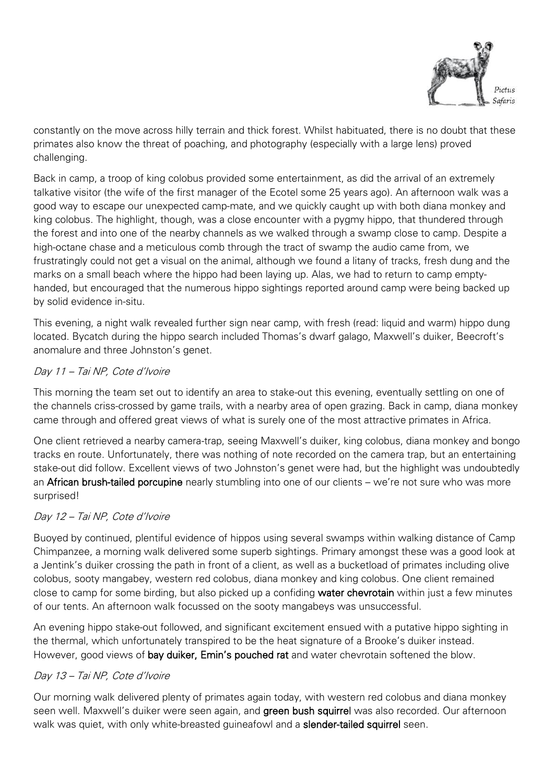

constantly on the move across hilly terrain and thick forest. Whilst habituated, there is no doubt that these primates also know the threat of poaching, and photography (especially with a large lens) proved challenging.

Back in camp, a troop of king colobus provided some entertainment, as did the arrival of an extremely talkative visitor (the wife of the first manager of the Ecotel some 25 years ago). An afternoon walk was a good way to escape our unexpected camp-mate, and we quickly caught up with both diana monkey and king colobus. The highlight, though, was a close encounter with a pygmy hippo, that thundered through the forest and into one of the nearby channels as we walked through a swamp close to camp. Despite a high-octane chase and a meticulous comb through the tract of swamp the audio came from, we frustratingly could not get a visual on the animal, although we found a litany of tracks, fresh dung and the marks on a small beach where the hippo had been laying up. Alas, we had to return to camp emptyhanded, but encouraged that the numerous hippo sightings reported around camp were being backed up by solid evidence in-situ.

This evening, a night walk revealed further sign near camp, with fresh (read: liquid and warm) hippo dung located. Bycatch during the hippo search included Thomas's dwarf galago, Maxwell's duiker, Beecroft's anomalure and three Johnston's genet.

#### Day 11 – Tai NP, Cote d'Ivoire

This morning the team set out to identify an area to stake-out this evening, eventually settling on one of the channels criss-crossed by game trails, with a nearby area of open grazing. Back in camp, diana monkey came through and offered great views of what is surely one of the most attractive primates in Africa.

One client retrieved a nearby camera-trap, seeing Maxwell's duiker, king colobus, diana monkey and bongo tracks en route. Unfortunately, there was nothing of note recorded on the camera trap, but an entertaining stake-out did follow. Excellent views of two Johnston's genet were had, but the highlight was undoubtedly an African brush-tailed porcupine nearly stumbling into one of our clients – we're not sure who was more surprised!

#### Day 12 – Tai NP, Cote d'Ivoire

Buoyed by continued, plentiful evidence of hippos using several swamps within walking distance of Camp Chimpanzee, a morning walk delivered some superb sightings. Primary amongst these was a good look at a Jentink's duiker crossing the path in front of a client, as well as a bucketload of primates including olive colobus, sooty mangabey, western red colobus, diana monkey and king colobus. One client remained close to camp for some birding, but also picked up a confiding water chevrotain within just a few minutes of our tents. An afternoon walk focussed on the sooty mangabeys was unsuccessful.

An evening hippo stake-out followed, and significant excitement ensued with a putative hippo sighting in the thermal, which unfortunately transpired to be the heat signature of a Brooke's duiker instead. However, good views of bay duiker, Emin's pouched rat and water chevrotain softened the blow.

#### Day 13 – Tai NP, Cote d'Ivoire

Our morning walk delivered plenty of primates again today, with western red colobus and diana monkey seen well. Maxwell's duiker were seen again, and green bush squirrel was also recorded. Our afternoon walk was quiet, with only white-breasted guineafowl and a **slender-tailed squirrel** seen.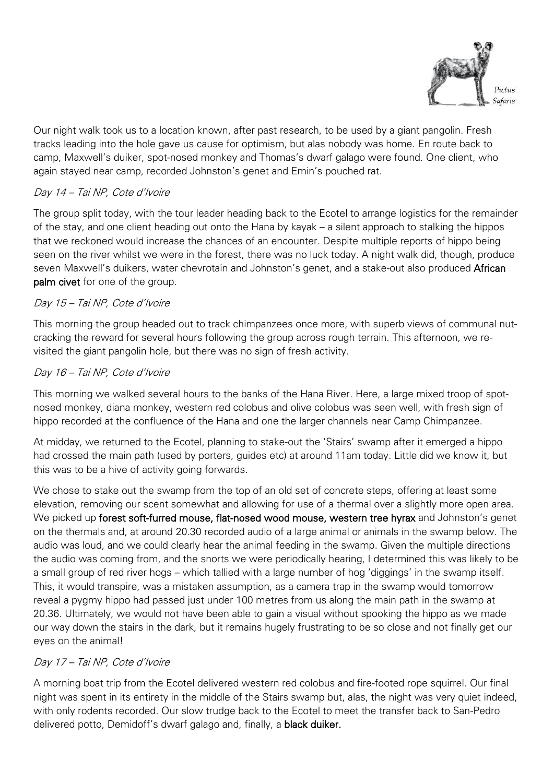

Our night walk took us to a location known, after past research, to be used by a giant pangolin. Fresh tracks leading into the hole gave us cause for optimism, but alas nobody was home. En route back to camp, Maxwell's duiker, spot-nosed monkey and Thomas's dwarf galago were found. One client, who again stayed near camp, recorded Johnston's genet and Emin's pouched rat.

### Day 14 – Tai NP, Cote d'Ivoire

The group split today, with the tour leader heading back to the Ecotel to arrange logistics for the remainder of the stay, and one client heading out onto the Hana by kayak – a silent approach to stalking the hippos that we reckoned would increase the chances of an encounter. Despite multiple reports of hippo being seen on the river whilst we were in the forest, there was no luck today. A night walk did, though, produce seven Maxwell's duikers, water chevrotain and Johnston's genet, and a stake-out also produced African palm civet for one of the group.

## Day 15 – Tai NP, Cote d'Ivoire

This morning the group headed out to track chimpanzees once more, with superb views of communal nutcracking the reward for several hours following the group across rough terrain. This afternoon, we revisited the giant pangolin hole, but there was no sign of fresh activity.

## Day 16 – Tai NP, Cote d'Ivoire

This morning we walked several hours to the banks of the Hana River. Here, a large mixed troop of spotnosed monkey, diana monkey, western red colobus and olive colobus was seen well, with fresh sign of hippo recorded at the confluence of the Hana and one the larger channels near Camp Chimpanzee.

At midday, we returned to the Ecotel, planning to stake-out the 'Stairs' swamp after it emerged a hippo had crossed the main path (used by porters, guides etc) at around 11am today. Little did we know it, but this was to be a hive of activity going forwards.

We chose to stake out the swamp from the top of an old set of concrete steps, offering at least some elevation, removing our scent somewhat and allowing for use of a thermal over a slightly more open area. We picked up forest soft-furred mouse, flat-nosed wood mouse, western tree hyrax and Johnston's genet on the thermals and, at around 20.30 recorded audio of a large animal or animals in the swamp below. The audio was loud, and we could clearly hear the animal feeding in the swamp. Given the multiple directions the audio was coming from, and the snorts we were periodically hearing, I determined this was likely to be a small group of red river hogs – which tallied with a large number of hog 'diggings' in the swamp itself. This, it would transpire, was a mistaken assumption, as a camera trap in the swamp would tomorrow reveal a pygmy hippo had passed just under 100 metres from us along the main path in the swamp at 20.36. Ultimately, we would not have been able to gain a visual without spooking the hippo as we made our way down the stairs in the dark, but it remains hugely frustrating to be so close and not finally get our eyes on the animal!

#### Day 17 – Tai NP, Cote d'Ivoire

A morning boat trip from the Ecotel delivered western red colobus and fire-footed rope squirrel. Our final night was spent in its entirety in the middle of the Stairs swamp but, alas, the night was very quiet indeed, with only rodents recorded. Our slow trudge back to the Ecotel to meet the transfer back to San-Pedro delivered potto, Demidoff's dwarf galago and, finally, a black duiker.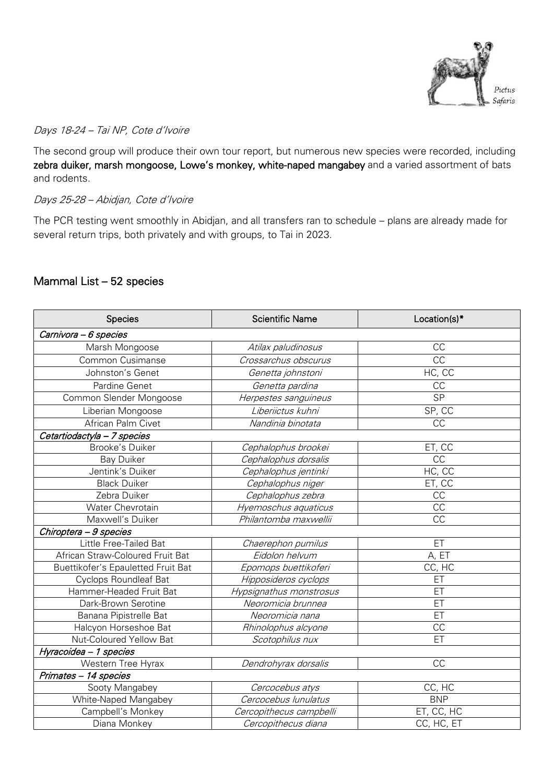

## Days 18-24 – Tai NP, Cote d'Ivoire

The second group will produce their own tour report, but numerous new species were recorded, including zebra duiker, marsh mongoose, Lowe's monkey, white-naped mangabey and a varied assortment of bats and rodents.

Days 25-28 – Abidjan, Cote d'Ivoire

The PCR testing went smoothly in Abidjan, and all transfers ran to schedule – plans are already made for several return trips, both privately and with groups, to Tai in 2023.

## Mammal List – 52 species

| Species                            | <b>Scientific Name</b>  | Location(s)*    |
|------------------------------------|-------------------------|-----------------|
| Carnivora - 6 species              |                         |                 |
| Marsh Mongoose                     | Atilax paludinosus      | CC              |
| Common Cusimanse                   | Crossarchus obscurus    | $\overline{CC}$ |
| Johnston's Genet                   | Genetta johnstoni       | HC, CC          |
| Pardine Genet                      | Genetta pardina         | CC              |
| Common Slender Mongoose            | Herpestes sanguineus    | <b>SP</b>       |
| Liberian Mongoose                  | Liberiictus kuhni       | SP, CC          |
| African Palm Civet                 | Nandinia binotata       | CC              |
| Cetartiodactyla - 7 species        |                         |                 |
| <b>Brooke's Duiker</b>             | Cephalophus brookei     | ET, CC          |
| <b>Bay Duiker</b>                  | Cephalophus dorsalis    | CC              |
| Jentink's Duiker                   | Cephalophus jentinki    | HC, CC          |
| <b>Black Duiker</b>                | Cephalophus niger       | ET, CC          |
| Zebra Duiker                       | Cephalophus zebra       | CC              |
| Water Chevrotain                   | Hyemoschus aquaticus    | CC              |
| Maxwell's Duiker                   | Philantomba maxwellii   | CC              |
| Chiroptera - 9 species             |                         |                 |
| Little Free-Tailed Bat             | Chaerephon pumilus      | ET              |
| African Straw-Coloured Fruit Bat   | Eidolon helvum          | A, ET           |
| Buettikofer's Epauletted Fruit Bat | Epomops buettikoferi    | CC, HC          |
| <b>Cyclops Roundleaf Bat</b>       | Hipposideros cyclops    | ET              |
| Hammer-Headed Fruit Bat            | Hypsignathus monstrosus | ET              |
| Dark-Brown Serotine                | Neoromicia brunnea      | ET              |
| Banana Pipistrelle Bat             | Neoromicia nana         | ET              |
| Halcyon Horseshoe Bat              | Rhinolophus alcyone     | CC              |
| Nut-Coloured Yellow Bat            | Scotophilus nux         | ET              |
| Hyracoidea - 1 species             |                         |                 |
| Western Tree Hyrax                 | Dendrohyrax dorsalis    | <b>CC</b>       |
| Primates - 14 species              |                         |                 |
| Sooty Mangabey                     | Cercocebus atys         | CC, HC          |
| White-Naped Mangabey               | Cercocebus lunulatus    | <b>BNP</b>      |
| Campbell's Monkey                  | Cercopithecus campbelli | ET, CC, HC      |
| Diana Monkey                       | Cercopithecus diana     | CC, HC, ET      |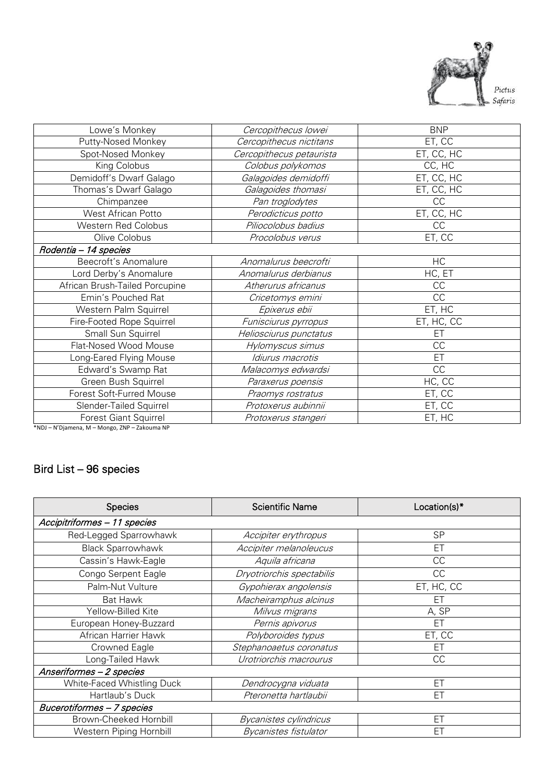

| Lowe's Monkey                  | Cercopithecus lowei      | <b>BNP</b> |
|--------------------------------|--------------------------|------------|
| Putty-Nosed Monkey             | Cercopithecus nictitans  | ET, CC     |
| Spot-Nosed Monkey              | Cercopithecus petaurista | ET, CC, HC |
| King Colobus                   | Colobus polykomos        | CC, HC     |
| Demidoff's Dwarf Galago        | Galagoides demidoffi     | ET, CC, HC |
| Thomas's Dwarf Galago          | Galagoides thomasi       | ET, CC, HC |
| Chimpanzee                     | Pan troglodytes          | CC         |
| West African Potto             | Perodicticus potto       | ET, CC, HC |
| Western Red Colobus            | Piliocolobus badius      | CC         |
| Olive Colobus                  | Procolobus verus         | ET, CC     |
| Rodentia - 14 species          |                          |            |
| Beecroft's Anomalure           | Anomalurus beecrofti     | HC         |
| Lord Derby's Anomalure         | Anomalurus derbianus     | HC, ET     |
| African Brush-Tailed Porcupine | Atherurus africanus      | CC         |
| Emin's Pouched Rat             | Cricetomys emini         | CC         |
| Western Palm Squirrel          | Epixerus ebii            | ET, HC     |
| Fire-Footed Rope Squirrel      | Funisciurus pyrropus     | ET, HC, CC |
| Small Sun Squirrel             | Heliosciurus punctatus   | ЕT         |
| Flat-Nosed Wood Mouse          | Hylomyscus simus         | CC         |
| Long-Eared Flying Mouse        | Idiurus macrotis         | ET         |
| Edward's Swamp Rat             | Malacomys edwardsi       | CC         |
| Green Bush Squirrel            | Paraxerus poensis        | HC, CC     |
| Forest Soft-Furred Mouse       | Praomys rostratus        | ET, CC     |
| Slender-Tailed Squirrel        | Protoxerus aubinnii      | ET, CC     |
| <b>Forest Giant Squirrel</b>   | Protoxerus stangeri      | ET, HC     |
|                                |                          |            |

\*NDJ – N'Djamena, M – Mongo, ZNP – Zakouma NP

## Bird List – 96 species

| <b>Species</b>                | <b>Scientific Name</b>       | Location(s)* |
|-------------------------------|------------------------------|--------------|
| Accipitriformes - 11 species  |                              |              |
| Red-Legged Sparrowhawk        | Accipiter erythropus         | <b>SP</b>    |
| <b>Black Sparrowhawk</b>      | Accipiter melanoleucus       | ET           |
| Cassin's Hawk-Eagle           | Aquila africana              | СC           |
| Congo Serpent Eagle           | Dryotriorchis spectabilis    | CC           |
| Palm-Nut Vulture              | Gypohierax angolensis        | ET, HC, CC   |
| Bat Hawk                      | Macheiramphus alcinus        | ЕT           |
| Yellow-Billed Kite            | Milvus migrans               | A, SP        |
| European Honey-Buzzard        | Pernis apivorus              | ET           |
| African Harrier Hawk          | Polyboroides typus           | ET, CC       |
| Crowned Eagle                 | Stephanoaetus coronatus      | ET           |
| ong-Tailed Hawk               | Urotriorchis macrourus       | CC           |
| Anseriformes - 2 species      |                              |              |
| White-Faced Whistling Duck    | Dendrocygna viduata          | ET           |
| Hartlaub's Duck               | Pteronetta hartlaubii        | ET           |
| Bucerotiformes - 7 species    |                              |              |
| <b>Brown-Cheeked Hornbill</b> | Bycanistes cylindricus       | ET           |
| Western Piping Hornbill       | <b>Bycanistes fistulator</b> | FT           |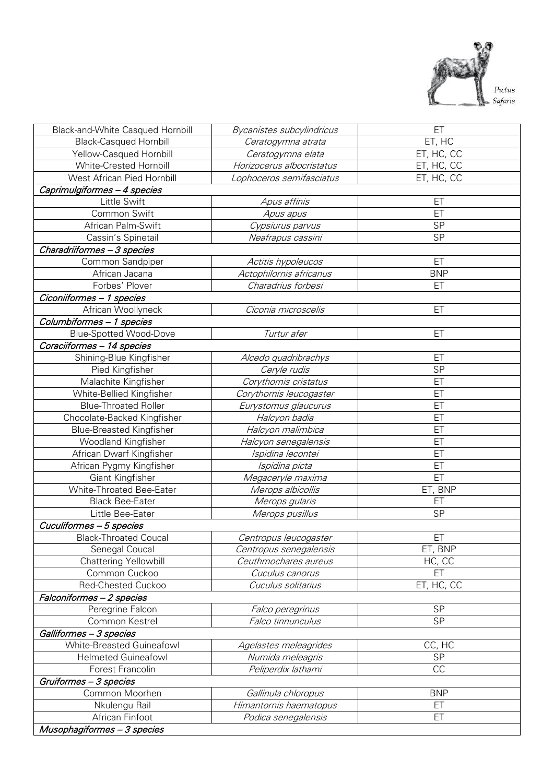

| Black-and-White Casqued Hornbill | Bycanistes subcylindricus | ET         |
|----------------------------------|---------------------------|------------|
| <b>Black-Casqued Hornbill</b>    | Ceratogymna atrata        | ET, HC     |
| Yellow-Casqued Hornbill          | Ceratogymna elata         | ET, HC, CC |
| White-Crested Hornbill           | Horizocerus albocristatus | ET, HC, CC |
| West African Pied Hornbill       | Lophoceros semifasciatus  | ET, HC, CC |
| Caprimulgiformes - 4 species     |                           |            |
| Little Swift                     | Apus affinis              | ET         |
| Common Swift                     | Apus apus                 | ET         |
| African Palm-Swift               | Cypsiurus parvus          | <b>SP</b>  |
| Cassin's Spinetail               | Neafrapus cassini         | SP         |
| Charadriiformes - 3 species      |                           |            |
| Common Sandpiper                 | Actitis hypoleucos        | ET         |
| African Jacana                   | Actophilornis africanus   | <b>BNP</b> |
| Forbes' Plover                   | Charadrius forbesi        | ET         |
| Ciconiiformes - 1 species        |                           |            |
| African Woollyneck               | Ciconia microscelis       | ET         |
| Columbiformes - 1 species        |                           |            |
| <b>Blue-Spotted Wood-Dove</b>    | Turtur afer               | ET         |
| Coraciiformes - 14 species       |                           |            |
| Shining-Blue Kingfisher          | Alcedo quadribrachys      | ET         |
| Pied Kingfisher                  | Ceryle rudis              | SP         |
| Malachite Kingfisher             | Corythornis cristatus     | ET         |
| White-Bellied Kingfisher         | Corythornis leucogaster   | ET         |
| <b>Blue-Throated Roller</b>      | Eurystomus glaucurus      | ET         |
| Chocolate-Backed Kingfisher      | Halcyon badia             | ET         |
| <b>Blue-Breasted Kingfisher</b>  | Halcyon malimbica         | ET         |
| <b>Woodland Kingfisher</b>       | Halcyon senegalensis      | ET         |
| African Dwarf Kingfisher         | Ispidina lecontei         | ET         |
| African Pygmy Kingfisher         | Ispidina picta            | ET         |
| Giant Kingfisher                 | Megaceryle maxima         | ET         |
| White-Throated Bee-Eater         | Merops albicollis         | ET, BNP    |
| <b>Black Bee-Eater</b>           | Merops gularis            | ET         |
| Little Bee-Eater                 | Merops pusillus           | <b>SP</b>  |
| Cuculiformes - 5 species         |                           |            |
| <b>Black-Throated Coucal</b>     | Centropus leucogaster     | ET         |
| Senegal Coucal                   | Centropus senegalensis    | ET, BNP    |
| Chattering Yellowbill            | Ceuthmochares aureus      | HC, CC     |
| Common Cuckoo                    | Cuculus canorus           | ET         |
| Red-Chested Cuckoo               | Cuculus solitarius        | ET, HC, CC |
| Falconiformes - 2 species        |                           |            |
| Peregrine Falcon                 | Falco peregrinus          | <b>SP</b>  |
| Common Kestrel                   | Falco tinnunculus         | SP         |
| Galliformes - 3 species          |                           |            |
| White-Breasted Guineafowl        | Agelastes meleagrides     | CC, HC     |
| <b>Helmeted Guineafowl</b>       | Numida meleagris          | <b>SP</b>  |
| Forest Francolin                 | Peliperdix lathami        | CC         |
| Gruiformes - 3 species           |                           |            |
| Common Moorhen                   | Gallinula chloropus       | <b>BNP</b> |
| Nkulengu Rail                    | Himantornis haematopus    | ET         |
| African Finfoot                  | Podica senegalensis       | ET         |
| Musophagiformes - 3 species      |                           |            |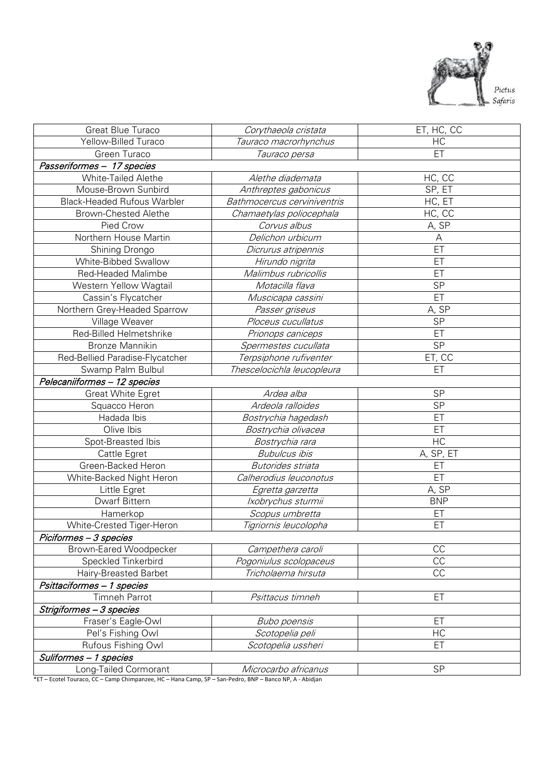

| Great Blue Turaco                  | Corythaeola cristata        | ET, HC, CC              |
|------------------------------------|-----------------------------|-------------------------|
| Yellow-Billed Turaco               | Tauraco macrorhynchus       | HC                      |
| Green Turaco                       | Tauraco persa               | ET                      |
| Passeriformes - 17 species         |                             |                         |
| <b>White-Tailed Alethe</b>         | Alethe diademata            | HC, CC                  |
| Mouse-Brown Sunbird                | Anthreptes gabonicus        | SP, ET                  |
| <b>Black-Headed Rufous Warbler</b> | Bathmocercus cerviniventris | HC, ET                  |
| Brown-Chested Alethe               | Chamaetylas poliocephala    | HC, CC                  |
| Pied Crow                          | Corvus albus                | A, SP                   |
| Northern House Martin              | Delichon urbicum            | Α                       |
| Shining Drongo                     | Dicrurus atripennis         | ET                      |
| White-Bibbed Swallow               | Hirundo nigrita             | ET                      |
| <b>Red-Headed Malimbe</b>          | Malimbus rubricollis        | ET                      |
| Western Yellow Wagtail             | Motacilla flava             | SP                      |
| Cassin's Flycatcher                | Muscicapa cassini           | ET                      |
| Northern Grey-Headed Sparrow       | Passer griseus              | A, SP                   |
| Village Weaver                     | Ploceus cucullatus          | <b>SP</b>               |
| Red-Billed Helmetshrike            | Prionops caniceps           | ET                      |
| <b>Bronze Mannikin</b>             | Spermestes cucullata        | SP                      |
| Red-Bellied Paradise-Flycatcher    | Terpsiphone rufiventer      | ET, CC                  |
| Swamp Palm Bulbul                  | Thescelocichla leucopleura  | ET                      |
| Pelecaniiformes - 12 species       |                             |                         |
| <b>Great White Egret</b>           | Ardea alba                  | <b>SP</b>               |
| Squacco Heron                      | Ardeola ralloides           | <b>SP</b>               |
| Hadada Ibis                        | Bostrychia hagedash         | ET                      |
| Olive Ibis                         | Bostrychia olivacea         | ET                      |
| Spot-Breasted Ibis                 | Bostrychia rara             | HC                      |
| Cattle Egret                       | <b>Bubulcus ibis</b>        | $\overline{A}$ , SP, ET |
| Green-Backed Heron                 | <b>Butorides</b> striata    | ET                      |
| White-Backed Night Heron           | Calherodius leuconotus      | ET                      |
| Little Egret                       | Egretta garzetta            | A, SP                   |
| Dwarf Bittern                      | Ixobrychus sturmii          | <b>BNP</b>              |
| Hamerkop                           | Scopus umbretta             | ET                      |
| White-Crested Tiger-Heron          | Tigriornis leucolopha       | ET                      |
| Piciformes - 3 species             |                             |                         |
| Brown-Eared Woodpecker             | Campethera caroli           | CC                      |
| Speckled Tinkerbird                | Pogoniulus scolopaceus      | $\overline{CC}$         |
| Hairy-Breasted Barbet              | Tricholaema hirsuta         | <b>CC</b>               |
| Psittaciformes - 1 species         |                             |                         |
| Timneh Parrot                      | Psittacus timneh            | ET                      |
| Strigiformes - 3 species           |                             |                         |
| Fraser's Eagle-Owl                 | <b>Bubo poensis</b>         | ET                      |
| Pel's Fishing Owl                  | Scotopelia peli             | HC                      |
| Rufous Fishing Owl                 | Scotopelia ussheri          | ET                      |
| Suliformes - 1 species             |                             |                         |
| Long-Tailed Cormorant              | Microcarbo africanus        | <b>SP</b>               |

\*ET – Ecotel Touraco, CC – Camp Chimpanzee, HC – Hana Camp, SP – San-Pedro, BNP – Banco NP, A - Abidjan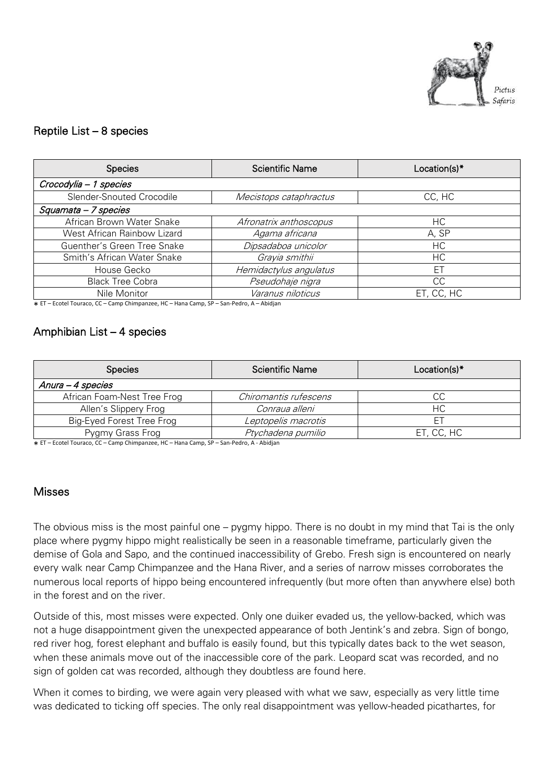

## Reptile List – 8 species

| <b>Species</b>              | <b>Scientific Name</b> | Location(s)* |
|-----------------------------|------------------------|--------------|
| Crocodylia - 1 species      |                        |              |
| Slender-Snouted Crocodile   | Mecistops cataphractus | CC, HC       |
| Squamata - 7 species        |                        |              |
| African Brown Water Snake   | Afronatrix anthoscopus | НC           |
| West African Rainbow Lizard | Agama africana         | A, SP        |
| Guenther's Green Tree Snake | Dipsadaboa unicolor    | НC           |
| Smith's African Water Snake | Grayia smithii         | HC.          |
| House Gecko                 | Hemidactylus angulatus | ЕT           |
| <b>Black Tree Cobra</b>     | Pseudohaje nigra       | CC           |
| Nile Monitor                | Varanus niloticus      | ET, CC, HC   |

\* ET – Ecotel Touraco, CC – Camp Chimpanzee, HC – Hana Camp, SP – San-Pedro, A – Abidjan

#### Amphibian List – 4 species

| <b>Species</b>              | <b>Scientific Name</b> | Location(s)* |
|-----------------------------|------------------------|--------------|
| Anura - 4 species           |                        |              |
| African Foam-Nest Tree Frog | Chiromantis rufescens  | CС           |
| Allen's Slippery Frog       | Conraua alleni         | HC.          |
| Big-Eyed Forest Tree Frog   | Leptopelis macrotis    |              |
| Pygmy Grass Frog            | Ptychadena pumilio     | ET, CC, HC   |

\* ET – Ecotel Touraco, CC – Camp Chimpanzee, HC – Hana Camp, SP – San-Pedro, A - Abidjan

#### **Misses**

The obvious miss is the most painful one – pygmy hippo. There is no doubt in my mind that Tai is the only place where pygmy hippo might realistically be seen in a reasonable timeframe, particularly given the demise of Gola and Sapo, and the continued inaccessibility of Grebo. Fresh sign is encountered on nearly every walk near Camp Chimpanzee and the Hana River, and a series of narrow misses corroborates the numerous local reports of hippo being encountered infrequently (but more often than anywhere else) both in the forest and on the river.

Outside of this, most misses were expected. Only one duiker evaded us, the yellow-backed, which was not a huge disappointment given the unexpected appearance of both Jentink's and zebra. Sign of bongo, red river hog, forest elephant and buffalo is easily found, but this typically dates back to the wet season, when these animals move out of the inaccessible core of the park. Leopard scat was recorded, and no sign of golden cat was recorded, although they doubtless are found here.

When it comes to birding, we were again very pleased with what we saw, especially as very little time was dedicated to ticking off species. The only real disappointment was yellow-headed picathartes, for